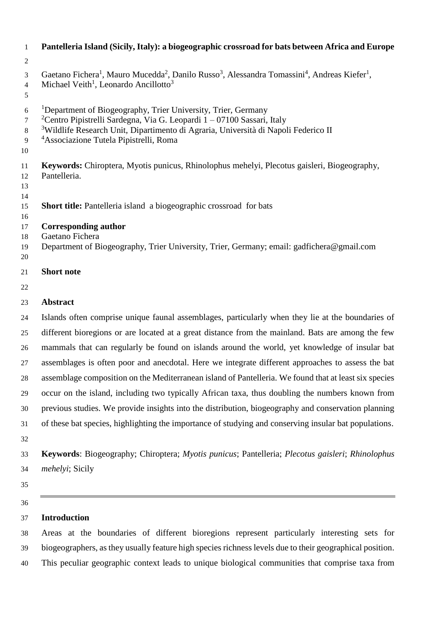| $\mathbf{1}$                        | Pantelleria Island (Sicily, Italy): a biogeographic crossroad for bats between Africa and Europe                                                                                                                                                                                                                          |
|-------------------------------------|---------------------------------------------------------------------------------------------------------------------------------------------------------------------------------------------------------------------------------------------------------------------------------------------------------------------------|
| $\overline{2}$                      |                                                                                                                                                                                                                                                                                                                           |
| 3<br>$\overline{4}$<br>5            | Gaetano Fichera <sup>1</sup> , Mauro Mucedda <sup>2</sup> , Danilo Russo <sup>3</sup> , Alessandra Tomassini <sup>4</sup> , Andreas Kiefer <sup>1</sup> ,<br>Michael Veith <sup>1</sup> , Leonardo Ancillotto <sup>3</sup>                                                                                                |
| 6<br>$\overline{7}$<br>8<br>9<br>10 | <sup>1</sup> Department of Biogeography, Trier University, Trier, Germany<br><sup>2</sup> Centro Pipistrelli Sardegna, Via G. Leopardi $1 - 07100$ Sassari, Italy<br><sup>3</sup> Wildlife Research Unit, Dipartimento di Agraria, Università di Napoli Federico II<br><sup>4</sup> Associazione Tutela Pipistrelli, Roma |
| 11<br>12<br>13<br>14                | Keywords: Chiroptera, Myotis punicus, Rhinolophus mehelyi, Plecotus gaisleri, Biogeography,<br>Pantelleria.                                                                                                                                                                                                               |
| 15<br>16                            | Short title: Pantelleria island a biogeographic crossroad for bats                                                                                                                                                                                                                                                        |
| 17<br>18<br>19<br>20                | <b>Corresponding author</b><br>Gaetano Fichera<br>Department of Biogeography, Trier University, Trier, Germany; email: gadfichera@gmail.com                                                                                                                                                                               |
| 21                                  | <b>Short note</b>                                                                                                                                                                                                                                                                                                         |
| 22                                  |                                                                                                                                                                                                                                                                                                                           |
| 23                                  | <b>Abstract</b>                                                                                                                                                                                                                                                                                                           |
| 24                                  | Islands often comprise unique faunal assemblages, particularly when they lie at the boundaries of                                                                                                                                                                                                                         |
| 25                                  | different bioregions or are located at a great distance from the mainland. Bats are among the few                                                                                                                                                                                                                         |
| 26                                  | mammals that can regularly be found on islands around the world, yet knowledge of insular bat                                                                                                                                                                                                                             |
| 27                                  | assemblages is often poor and anecdotal. Here we integrate different approaches to assess the bat                                                                                                                                                                                                                         |
| 28                                  | assemblage composition on the Mediterranean island of Pantelleria. We found that at least six species                                                                                                                                                                                                                     |
| 29                                  | occur on the island, including two typically African taxa, thus doubling the numbers known from                                                                                                                                                                                                                           |
| 30                                  | previous studies. We provide insights into the distribution, biogeography and conservation planning                                                                                                                                                                                                                       |
| 31                                  | of these bat species, highlighting the importance of studying and conserving insular bat populations.                                                                                                                                                                                                                     |
| 32                                  |                                                                                                                                                                                                                                                                                                                           |
| 33                                  | Keywords: Biogeography; Chiroptera; Myotis punicus; Pantelleria; Plecotus gaisleri; Rhinolophus                                                                                                                                                                                                                           |

- *mehelyi*; Sicily
- 

# **Introduction**

 Areas at the boundaries of different bioregions represent particularly interesting sets for biogeographers, as they usually feature high species richness levels due to their geographical position. This peculiar geographic context leads to unique biological communities that comprise taxa from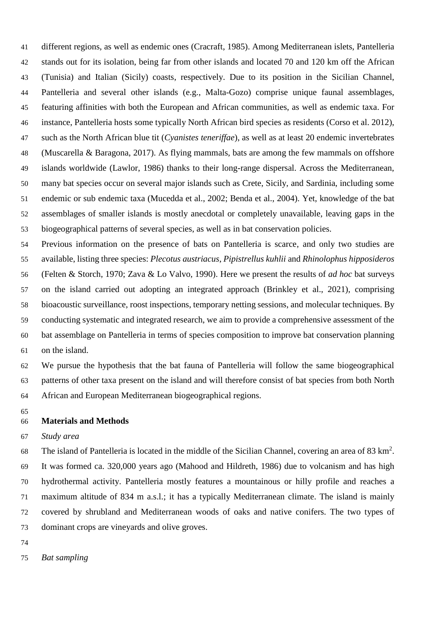different regions, as well as endemic ones (Cracraft, 1985). Among Mediterranean islets, Pantelleria stands out for its isolation, being far from other islands and located 70 and 120 km off the African (Tunisia) and Italian (Sicily) coasts, respectively. Due to its position in the Sicilian Channel, Pantelleria and several other islands (e.g., Malta-Gozo) comprise unique faunal assemblages, featuring affinities with both the European and African communities, as well as endemic taxa. For instance, Pantelleria hosts some typically North African bird species as residents (Corso et al. 2012), such as the North African blue tit (*Cyanistes teneriffae*), as well as at least 20 endemic invertebrates (Muscarella & Baragona, 2017). As flying mammals, bats are among the few mammals on offshore islands worldwide (Lawlor, 1986) thanks to their long-range dispersal. Across the Mediterranean, many bat species occur on several major islands such as Crete, Sicily, and Sardinia, including some endemic or sub endemic taxa (Mucedda et al., 2002; Benda et al., 2004). Yet, knowledge of the bat assemblages of smaller islands is mostly anecdotal or completely unavailable, leaving gaps in the biogeographical patterns of several species, as well as in bat conservation policies.

 Previous information on the presence of bats on Pantelleria is scarce, and only two studies are available, listing three species: *Plecotus austriacus*, *Pipistrellus kuhlii* and *Rhinolophus hipposideros* (Felten & Storch, 1970; Zava & Lo Valvo, 1990). Here we present the results of *ad hoc* bat surveys on the island carried out adopting an integrated approach (Brinkley et al., 2021), comprising bioacoustic surveillance, roost inspections, temporary netting sessions, and molecular techniques. By conducting systematic and integrated research, we aim to provide a comprehensive assessment of the bat assemblage on Pantelleria in terms of species composition to improve bat conservation planning on the island.

 We pursue the hypothesis that the bat fauna of Pantelleria will follow the same biogeographical patterns of other taxa present on the island and will therefore consist of bat species from both North African and European Mediterranean biogeographical regions.

## **Materials and Methods**

*Study area*

68 The island of Pantelleria is located in the middle of the Sicilian Channel, covering an area of 83 km<sup>2</sup>. It was formed ca. 320,000 years ago (Mahood and Hildreth, 1986) due to volcanism and has high hydrothermal activity. Pantelleria mostly features a mountainous or hilly profile and reaches a maximum altitude of 834 m a.s.l.; it has a typically Mediterranean climate. The island is mainly covered by shrubland and Mediterranean woods of oaks and native conifers. The two types of dominant crops are vineyards and olive groves.

- 
- *Bat sampling*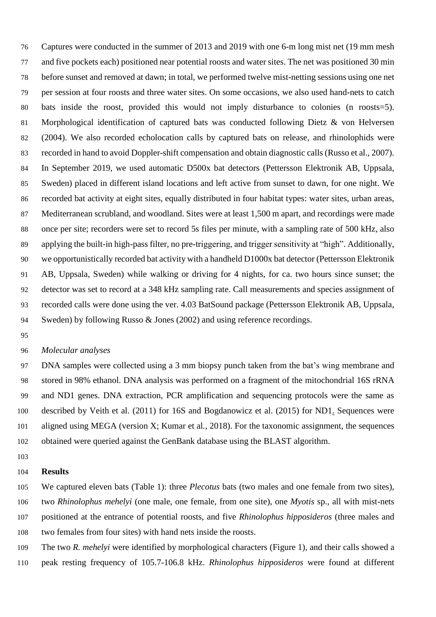Captures were conducted in the summer of 2013 and 2019 with one 6-m long mist net (19 mm mesh and five pockets each) positioned near potential roosts and water sites. The net was positioned 30 min before sunset and removed at dawn; in total, we performed twelve mist-netting sessions using one net per session at four roosts and three water sites. On some occasions, we also used hand-nets to catch bats inside the roost, provided this would not imply disturbance to colonies (n roosts=5). Morphological identification of captured bats was conducted following Dietz & von Helversen (2004). We also recorded echolocation calls by captured bats on release, and rhinolophids were recorded in hand to avoid Doppler-shift compensation and obtain diagnostic calls (Russo et al., 2007). In September 2019, we used automatic D500x bat detectors (Pettersson Elektronik AB, Uppsala, Sweden) placed in different island locations and left active from sunset to dawn, for one night. We recorded bat activity at eight sites, equally distributed in four habitat types: water sites, urban areas, Mediterranean scrubland, and woodland. Sites were at least 1,500 m apart, and recordings were made once per site; recorders were set to record 5s files per minute, with a sampling rate of 500 kHz, also applying the built-in high-pass filter, no pre-triggering, and trigger sensitivity at "high". Additionally, we opportunistically recorded bat activity with a handheld D1000x bat detector (Pettersson Elektronik AB, Uppsala, Sweden) while walking or driving for 4 nights, for ca. two hours since sunset; the detector was set to record at a 348 kHz sampling rate. Call measurements and species assignment of recorded calls were done using the ver. 4.03 BatSound package (Pettersson Elektronik AB, Uppsala, Sweden) by following Russo & Jones (2002) and using reference recordings.

### *Molecular analyses*

 DNA samples were collected using a 3 mm biopsy punch taken from the bat's wing membrane and stored in 98% ethanol. DNA analysis was performed on a fragment of the mitochondrial 16S rRNA and ND1 genes. DNA extraction, PCR amplification and sequencing protocols were the same as described by Veith et al. (2011) for 16S and Bogdanowicz et al. (2015) for ND1. Sequences were aligned using MEGA (version X; Kumar et al*.,* 2018). For the taxonomic assignment, the sequences obtained were queried against the GenBank database using the BLAST algorithm.

## **Results**

 We captured eleven bats (Table 1): three *Plecotus* bats (two males and one female from two sites), two *Rhinolophus mehelyi* (one male, one female, from one site), one *Myotis* sp., all with mist-nets positioned at the entrance of potential roosts, and five *Rhinolophus hipposideros* (three males and two females from four sites) with hand nets inside the roosts.

 The two *R. mehelyi* were identified by morphological characters (Figure 1), and their calls showed a peak resting frequency of 105.7-106.8 kHz. *Rhinolophus hipposideros* were found at different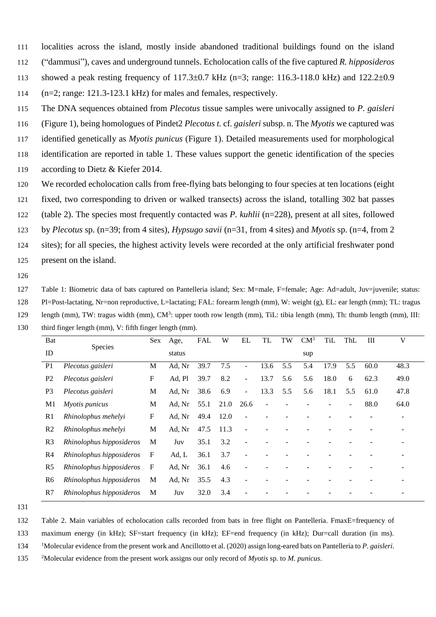111 localities across the island, mostly inside abandoned traditional buildings found on the island

112 ("dammusi"), caves and underground tunnels. Echolocation calls of the five captured *R. hipposideros*

113 showed a peak resting frequency of 117.3 $\pm$ 0.7 kHz (n=3; range: 116.3-118.0 kHz) and 122.2 $\pm$ 0.9

114 (n=2; range: 121.3-123.1 kHz) for males and females, respectively.

115 The DNA sequences obtained from *Plecotus* tissue samples were univocally assigned to *P. gaisleri*

116 (Figure 1), being homologues of Pindet2 *Plecotus t.* cf*. gaisleri* subsp. n. The *Myotis* we captured was

117 identified genetically as *Myotis punicus* (Figure 1). Detailed measurements used for morphological

118 identification are reported in table 1. These values support the genetic identification of the species

- 119 according to Dietz & Kiefer 2014.
- 120 We recorded echolocation calls from free-flying bats belonging to four species at ten locations (eight

121 fixed, two corresponding to driven or walked transects) across the island, totalling 302 bat passes

122 (table 2). The species most frequently contacted was *P. kuhlii* (n=228), present at all sites, followed

123 by *Plecotus* sp. (n=39; from 4 sites), *Hypsugo savii* (n=31, from 4 sites) and *Myotis* sp. (n=4, from 2

124 sites); for all species, the highest activity levels were recorded at the only artificial freshwater pond 125 present on the island.

126

127 Table 1: Biometric data of bats captured on Pantelleria island; Sex: M=male, F=female; Age: Ad=adult, Juv=juvenile; status: 128 Pl=Post-lactating, Nr=non reproductive, L=lactating; FAL: forearm length (mm), W: weight (g), EL: ear length (mm); TL: tragus 129 length (mm), TW: tragus width (mm),  $CM^3$ : upper tooth row length (mm), TiL: tibia length (mm), Th: thumb length (mm), III: 130 third finger length (mm), V: fifth finger length (mm).

| Bat            |                          | Sex | Age,   | <b>FAL</b> | W    | EL                       | <b>TL</b> | TW  | $CM^3$ | TiL  | ThL            | Ш    | V    |
|----------------|--------------------------|-----|--------|------------|------|--------------------------|-----------|-----|--------|------|----------------|------|------|
| ID             | Species                  |     | status |            |      |                          |           |     | sup    |      |                |      |      |
| P <sub>1</sub> | Plecotus gaisleri        | M   | Ad, Nr | 39.7       | 7.5  | $\overline{\phantom{a}}$ | 13.6      | 5.5 | 5.4    | 17.9 | 5.5            | 60.0 | 48.3 |
| P <sub>2</sub> | Plecotus gaisleri        | F   | Ad, Pl | 39.7       | 8.2  | $\blacksquare$           | 13.7      | 5.6 | 5.6    | 18.0 | 6              | 62.3 | 49.0 |
| P <sub>3</sub> | Plecotus gaisleri        | M   | Ad, Nr | 38.6       | 6.9  | $\blacksquare$           | 13.3      | 5.5 | 5.6    | 18.1 | 5.5            | 61.0 | 47.8 |
| M1             | Myotis punicus           | M   | Ad, Nr | 55.1       | 21.0 | 26.6                     | ÷,        |     |        |      | $\blacksquare$ | 88.0 | 64.0 |
| R <sub>1</sub> | Rhinolophus mehelyi      | F   | Ad, Nr | 49.4       | 12.0 | ÷,                       |           |     |        |      |                |      |      |
| R <sub>2</sub> | Rhinolophus mehelyi      | M   | Ad, Nr | 47.5       | 11.3 | ÷,                       |           |     |        |      |                |      |      |
| R <sub>3</sub> | Rhinolophus hipposideros | M   | Juv    | 35.1       | 3.2  | ÷,                       |           |     |        |      |                |      |      |
| R <sub>4</sub> | Rhinolophus hipposideros | F   | Ad, L  | 36.1       | 3.7  | ٠                        |           |     |        |      |                |      |      |
| R <sub>5</sub> | Rhinolophus hipposideros | F   | Ad, Nr | 36.1       | 4.6  | $\overline{\phantom{a}}$ |           |     |        |      |                |      |      |
| R6             | Rhinolophus hipposideros | M   | Ad, Nr | 35.5       | 4.3  | ٠                        |           |     |        |      |                |      |      |
| R7             | Rhinolophus hipposideros | M   | Juv    | 32.0       | 3.4  |                          |           |     |        |      |                |      |      |
|                |                          |     |        |            |      |                          |           |     |        |      |                |      |      |

131

132 Table 2. Main variables of echolocation calls recorded from bats in free flight on Pantelleria. FmaxE=frequency of

133 maximum energy (in kHz); SF=start frequency (in kHz); EF=end frequency (in kHz); Dur=call duration (in ms).

134 <sup>1</sup>Molecular evidence from the present work and Ancillotto et al. (2020) assign long-eared bats on Pantelleria to *P. gaisleri*.

135 <sup>2</sup>Molecular evidence from the present work assigns our only record of *Myotis* sp. to *M. punicus*.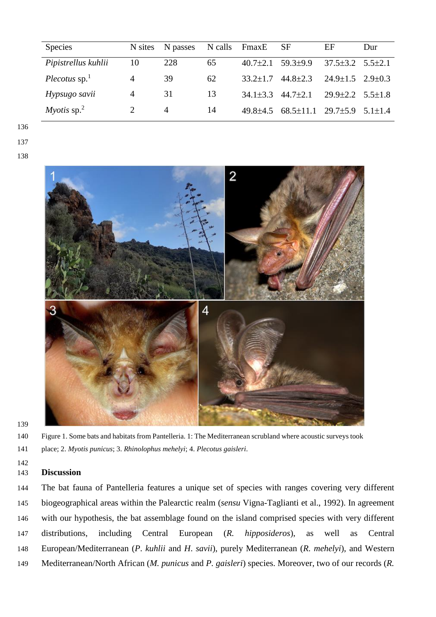| <b>Species</b>                 |                | N sites N passes | N calls | FmaxE          | SF                             | EF                           | Dur         |
|--------------------------------|----------------|------------------|---------|----------------|--------------------------------|------------------------------|-------------|
| Pipistrellus kuhlii            | 10             | 228              | 65      | $40.7 \pm 2.1$ | $59.3 \pm 9.9$                 | $37.5 \pm 3.2$ $5.5 \pm 2.1$ |             |
| Plecotus $sp1$                 | $\overline{4}$ | 39               | 62      | $33.2 \pm 1.7$ | $44.8 \pm 2.3$                 | $24.9 \pm 1.5$ $2.9 \pm 0.3$ |             |
| Hypsugo savii                  | $\overline{A}$ | 31               | 13      |                | $34.1\pm3.3$ $44.7\pm2.1$      | $29.9 \pm 2.2$ 5.5 $\pm 1.8$ |             |
| <i>Myotis</i> sp. <sup>2</sup> |                | 4                | 14      | $49.8 + 4.5$   | $68.5 \pm 11.1$ 29.7 $\pm$ 5.9 |                              | $5.1 + 1.4$ |



 Figure 1. Some bats and habitats from Pantelleria. 1: The Mediterranean scrubland where acoustic surveys took place; 2. *Myotis punicus*; 3. *Rhinolophus mehelyi*; 4. *Plecotus gaisleri*.

## **Discussion**

 The bat fauna of Pantelleria features a unique set of species with ranges covering very different biogeographical areas within the Palearctic realm (*sensu* Vigna-Taglianti et al., 1992). In agreement with our hypothesis, the bat assemblage found on the island comprised species with very different distributions, including Central European (*R. hipposideros*), as well as Central European/Mediterranean (*P*. *kuhlii* and *H*. *savii*), purely Mediterranean (*R. mehelyi*), and Western Mediterranean/North African (*M. punicus* and *P. gaisleri*) species. Moreover, two of our records (*R.*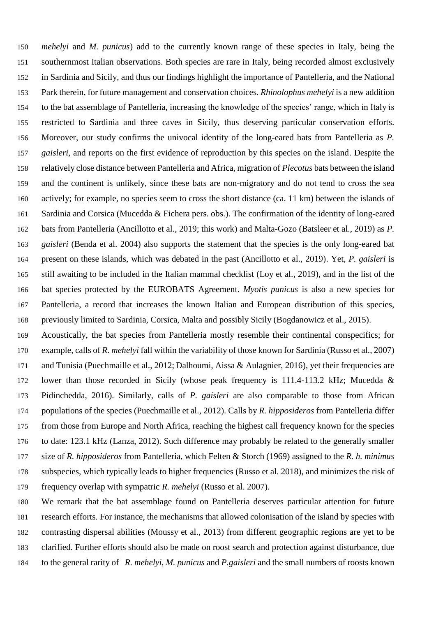*mehelyi* and *M. punicus*) add to the currently known range of these species in Italy, being the southernmost Italian observations. Both species are rare in Italy, being recorded almost exclusively in Sardinia and Sicily, and thus our findings highlight the importance of Pantelleria, and the National Park therein, for future management and conservation choices. *Rhinolophus mehelyi* is a new addition to the bat assemblage of Pantelleria, increasing the knowledge of the species' range, which in Italy is restricted to Sardinia and three caves in Sicily, thus deserving particular conservation efforts. Moreover, our study confirms the univocal identity of the long-eared bats from Pantelleria as *P. gaisleri*, and reports on the first evidence of reproduction by this species on the island. Despite the relatively close distance between Pantelleria and Africa, migration of *Plecotus* bats between the island and the continent is unlikely, since these bats are non-migratory and do not tend to cross the sea actively; for example, no species seem to cross the short distance (ca. 11 km) between the islands of Sardinia and Corsica (Mucedda & Fichera pers. obs.). The confirmation of the identity of long-eared bats from Pantelleria (Ancillotto et al., 2019; this work) and Malta-Gozo (Batsleer et al., 2019) as *P. gaisleri* (Benda et al. 2004) also supports the statement that the species is the only long-eared bat present on these islands, which was debated in the past (Ancillotto et al., 2019). Yet, *P. gaisleri* is still awaiting to be included in the Italian mammal checklist (Loy et al., 2019), and in the list of the bat species protected by the EUROBATS Agreement. *Myotis punicus* is also a new species for Pantelleria, a record that increases the known Italian and European distribution of this species, previously limited to Sardinia, Corsica, Malta and possibly Sicily (Bogdanowicz et al., 2015).

 Acoustically, the bat species from Pantelleria mostly resemble their continental conspecifics; for example, calls of *R. mehelyi* fall within the variability of those known for Sardinia (Russo et al., 2007) 171 and Tunisia (Puechmaille et al., 2012; Dalhoumi, Aissa & Aulagnier, 2016), yet their frequencies are lower than those recorded in Sicily (whose peak frequency is 111.4-113.2 kHz; Mucedda & Pidinchedda, 2016). Similarly, calls of *P. gaisleri* are also comparable to those from African populations of the species (Puechmaille et al., 2012). Calls by *R. hipposideros* from Pantelleria differ from those from Europe and North Africa, reaching the highest call frequency known for the species to date: 123.1 kHz (Lanza, 2012). Such difference may probably be related to the generally smaller size of *R. hipposideros* from Pantelleria, which Felten & Storch (1969) assigned to the *R. h. minimus* subspecies, which typically leads to higher frequencies (Russo et al. 2018), and minimizes the risk of frequency overlap with sympatric *R. mehelyi* (Russo et al. 2007).

 We remark that the bat assemblage found on Pantelleria deserves particular attention for future research efforts. For instance, the mechanisms that allowed colonisation of the island by species with contrasting dispersal abilities (Moussy et al., 2013) from different geographic regions are yet to be clarified. Further efforts should also be made on roost search and protection against disturbance, due to the general rarity of *R. mehelyi*, *M. punicus* and *P.gaisleri* and the small numbers of roosts known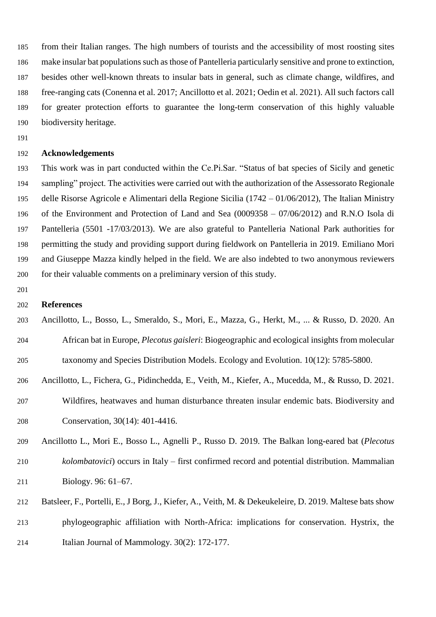from their Italian ranges. The high numbers of tourists and the accessibility of most roosting sites make insular bat populations such as those of Pantelleria particularly sensitive and prone to extinction, besides other well-known threats to insular bats in general, such as climate change, wildfires, and free-ranging cats (Conenna et al. 2017; Ancillotto et al. 2021; Oedin et al. 2021). All such factors call for greater protection efforts to guarantee the long-term conservation of this highly valuable biodiversity heritage.

## **Acknowledgements**

 This work was in part conducted within the Ce.Pi.Sar. "Status of bat species of Sicily and genetic sampling" project. The activities were carried out with the authorization of the Assessorato Regionale delle Risorse Agricole e Alimentari della Regione Sicilia (1742 – 01/06/2012), The Italian Ministry of the Environment and Protection of Land and Sea (0009358 – 07/06/2012) and R.N.O Isola di Pantelleria (5501 -17/03/2013). We are also grateful to Pantelleria National Park authorities for permitting the study and providing support during fieldwork on Pantelleria in 2019. Emiliano Mori and Giuseppe Mazza kindly helped in the field. We are also indebted to two anonymous reviewers for their valuable comments on a preliminary version of this study.

## **References**

- Ancillotto, L., Bosso, L., Smeraldo, S., Mori, E., Mazza, G., Herkt, M., ... & Russo, D. 2020. An African bat in Europe, *Plecotus gaisleri*: Biogeographic and ecological insights from molecular taxonomy and Species Distribution Models. Ecology and Evolution. 10(12): 5785-5800.
- Ancillotto, L., Fichera, G., Pidinchedda, E., Veith, M., Kiefer, A., Mucedda, M., & Russo, D. 2021.
- Wildfires, heatwaves and human disturbance threaten insular endemic bats. Biodiversity and Conservation, 30(14): 401-4416.
- Ancillotto L., Mori E., Bosso L., Agnelli P., Russo D. 2019. The Balkan long-eared bat (*Plecotus kolombatovici*) occurs in Italy – first confirmed record and potential distribution. Mammalian Biology. 96: 61–67.
- Batsleer, F., Portelli, E., J Borg, J., Kiefer, A., Veith, M. & Dekeukeleire, D. 2019. Maltese bats show phylogeographic affiliation with North-Africa: implications for conservation. Hystrix, the Italian Journal of Mammology. 30(2): 172-177.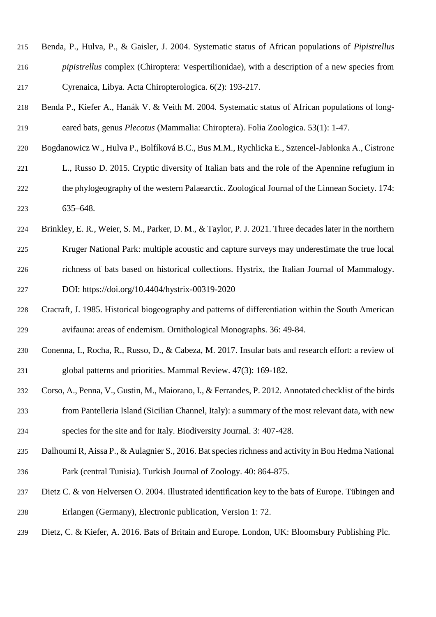| 215 | Benda, P., Hulva, P., & Gaisler, J. 2004. Systematic status of African populations of <i>Pipistrellus</i> |
|-----|-----------------------------------------------------------------------------------------------------------|
| 216 | <i>pipistrellus</i> complex (Chiroptera: Vespertilionidae), with a description of a new species from      |
| 217 | Cyrenaica, Libya. Acta Chiropterologica. 6(2): 193-217.                                                   |

- Benda P., Kiefer A., Hanák V. & Veith M. 2004. Systematic status of African populations of long-eared bats, genus *Plecotus* (Mammalia: Chiroptera). Folia Zoologica. 53(1): 1-47.
- Bogdanowicz W., Hulva P., Bolfíková B.C., Bus M.M., Rychlicka E., Sztencel-Jabłonka A., Cistrone
- L., Russo D. 2015. Cryptic diversity of Italian bats and the role of the Apennine refugium in the phylogeography of the western Palaearctic. Zoological Journal of the Linnean Society. 174: 635–648.
- Brinkley, E. R., Weier, S. M., Parker, D. M., & Taylor, P. J. 2021. Three decades later in the northern Kruger National Park: multiple acoustic and capture surveys may underestimate the true local richness of bats based on historical collections. Hystrix, the Italian Journal of Mammalogy. DOI: https://doi.org/10.4404/hystrix-00319-2020
- Cracraft, J. 1985. Historical biogeography and patterns of differentiation within the South American avifauna: areas of endemism. Ornithological Monographs. 36: 49-84.
- Conenna, I., Rocha, R., Russo, D., & Cabeza, M. 2017. Insular bats and research effort: a review of global patterns and priorities. Mammal Review. 47(3): 169-182.
- Corso, A., Penna, V., Gustin, M., Maiorano, I., & Ferrandes, P. 2012. Annotated checklist of the birds from Pantelleria Island (Sicilian Channel, Italy): a summary of the most relevant data, with new species for the site and for Italy. Biodiversity Journal. 3: 407-428.
- Dalhoumi R, Aissa P., & Aulagnier S., 2016. Bat species richness and activity in Bou Hedma National Park (central Tunisia). Turkish Journal of Zoology. 40: 864-875.
- Dietz C. & von Helversen O. 2004. Illustrated identification key to the bats of Europe. Tübingen and Erlangen (Germany), Electronic publication, Version 1: 72.
- Dietz, C. & Kiefer, A. 2016. Bats of Britain and Europe. London, UK: Bloomsbury Publishing Plc.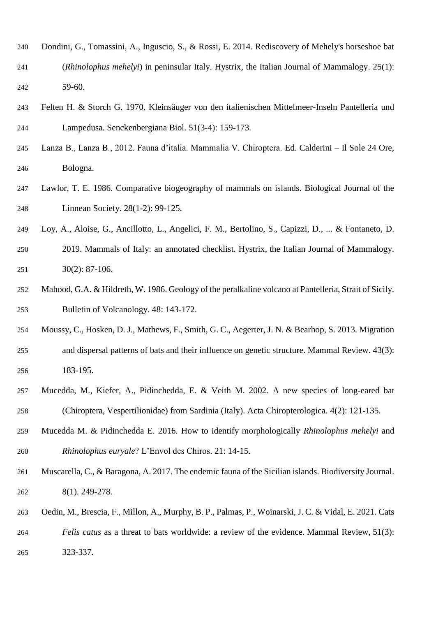- Dondini, G., Tomassini, A., Inguscio, S., & Rossi, E. 2014. Rediscovery of Mehely's horseshoe bat (*Rhinolophus mehelyi*) in peninsular Italy. Hystrix, the Italian Journal of Mammalogy. 25(1): 59-60.
- Felten H. & Storch G. 1970. Kleinsäuger von den italienischen Mittelmeer-Inseln Pantelleria und Lampedusa. Senckenbergiana Biol. 51(3-4): 159-173.
- Lanza B., Lanza B., 2012. Fauna d'italia. Mammalia V. Chiroptera. Ed. Calderini Il Sole 24 Ore, Bologna.
- Lawlor, T. E. 1986. Comparative biogeography of mammals on islands. Biological Journal of the Linnean Society. 28(1-2): 99-125.
- Loy, A., Aloise, G., Ancillotto, L., Angelici, F. M., Bertolino, S., Capizzi, D., ... & Fontaneto, D.
- 2019. Mammals of Italy: an annotated checklist. Hystrix, the Italian Journal of Mammalogy. 30(2): 87-106.
- Mahood, G.A. & Hildreth, W. 1986. Geology of the peralkaline volcano at Pantelleria, Strait of Sicily. Bulletin of Volcanology. 48: 143-172.
- Moussy, C., Hosken, D. J., Mathews, F., Smith, G. C., Aegerter, J. N. & Bearhop, S. 2013. Migration and dispersal patterns of bats and their influence on genetic structure. Mammal Review. 43(3): 183-195.
- Mucedda, M., Kiefer, A., Pidinchedda, E. & Veith M. 2002. A new species of long-eared bat (Chiroptera, Vespertilionidae) from Sardinia (Italy). Acta Chiropterologica. 4(2): 121-135.
- Mucedda M. & Pidinchedda E. 2016. How to identify morphologically *Rhinolophus mehelyi* and *Rhinolophus euryale*? L'Envol des Chiros. 21: 14-15.
- Muscarella, C., & Baragona, A. 2017. The endemic fauna of the Sicilian islands. Biodiversity Journal. 8(1). 249-278.
- Oedin, M., Brescia, F., Millon, A., Murphy, B. P., Palmas, P., Woinarski, J. C. & Vidal, E. 2021. Cats
- *Felis catus* as a threat to bats worldwide: a review of the evidence. Mammal Review, 51(3): 323-337.